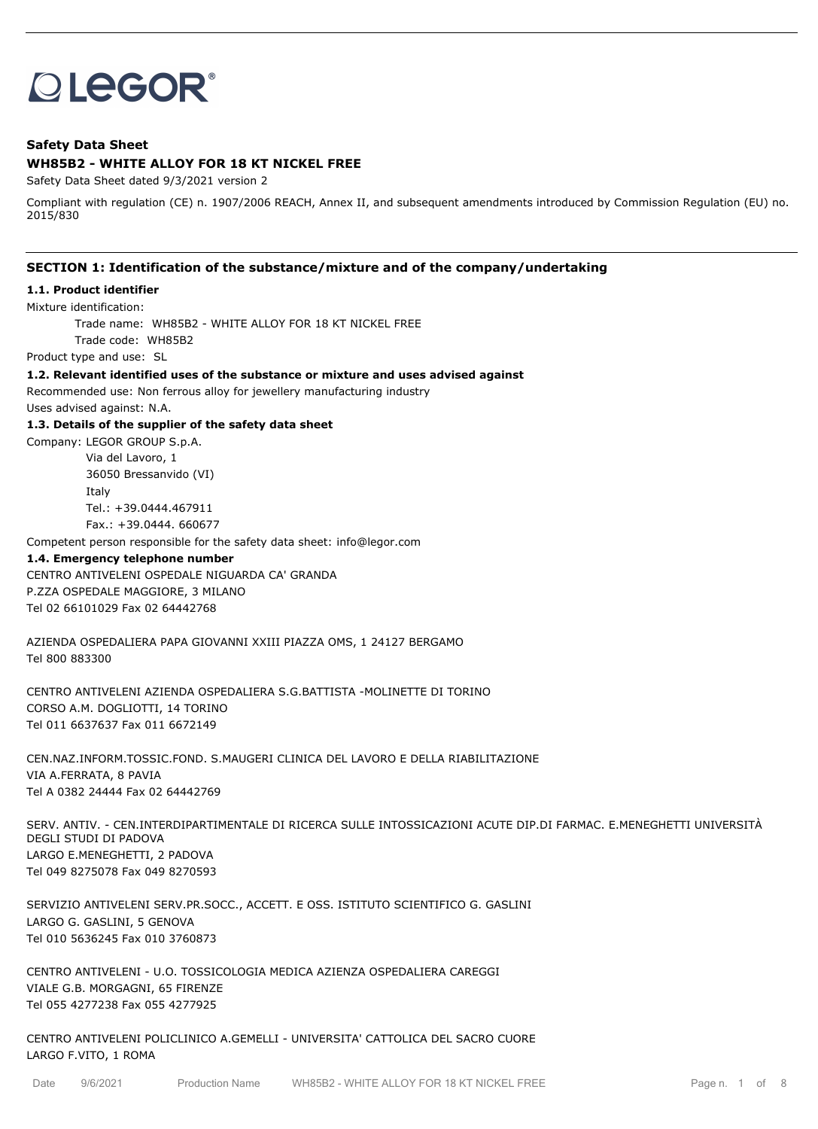# **OLEGOR®**

# **Safety Data Sheet**

## **WH85B2 - WHITE ALLOY FOR 18 KT NICKEL FREE**

Safety Data Sheet dated 9/3/2021 version 2

Compliant with regulation (CE) n. 1907/2006 REACH, Annex II, and subsequent amendments introduced by Commission Regulation (EU) no. 2015/830

#### **SECTION 1: Identification of the substance/mixture and of the company/undertaking**

#### **1.1. Product identifier**

Mixture identification:

Trade name: WH85B2 - WHITE ALLOY FOR 18 KT NICKEL FREE

Trade code: WH85B2

Product type and use: SL

**1.2. Relevant identified uses of the substance or mixture and uses advised against**

Recommended use: Non ferrous alloy for jewellery manufacturing industry

Uses advised against: N.A.

#### **1.3. Details of the supplier of the safety data sheet**

Company: LEGOR GROUP S.p.A. Via del Lavoro, 1 36050 Bressanvido (VI) Italy

Tel.: +39.0444.467911

Fax.: +39.0444. 660677

Competent person responsible for the safety data sheet: info@legor.com

#### **1.4. Emergency telephone number**

CENTRO ANTIVELENI OSPEDALE NIGUARDA CA' GRANDA P.ZZA OSPEDALE MAGGIORE, 3 MILANO Tel 02 66101029 Fax 02 64442768

AZIENDA OSPEDALIERA PAPA GIOVANNI XXIII PIAZZA OMS, 1 24127 BERGAMO Tel 800 883300

CENTRO ANTIVELENI AZIENDA OSPEDALIERA S.G.BATTISTA -MOLINETTE DI TORINO CORSO A.M. DOGLIOTTI, 14 TORINO Tel 011 6637637 Fax 011 6672149

CEN.NAZ.INFORM.TOSSIC.FOND. S.MAUGERI CLINICA DEL LAVORO E DELLA RIABILITAZIONE VIA A.FERRATA, 8 PAVIA Tel A 0382 24444 Fax 02 64442769

SERV. ANTIV. - CEN.INTERDIPARTIMENTALE DI RICERCA SULLE INTOSSICAZIONI ACUTE DIP.DI FARMAC. E.MENEGHETTI UNIVERSITÀ DEGLI STUDI DI PADOVA LARGO E.MENEGHETTI, 2 PADOVA Tel 049 8275078 Fax 049 8270593

SERVIZIO ANTIVELENI SERV.PR.SOCC., ACCETT. E OSS. ISTITUTO SCIENTIFICO G. GASLINI LARGO G. GASLINI, 5 GENOVA Tel 010 5636245 Fax 010 3760873

CENTRO ANTIVELENI - U.O. TOSSICOLOGIA MEDICA AZIENZA OSPEDALIERA CAREGGI VIALE G.B. MORGAGNI, 65 FIRENZE Tel 055 4277238 Fax 055 4277925

CENTRO ANTIVELENI POLICLINICO A.GEMELLI - UNIVERSITA' CATTOLICA DEL SACRO CUORE LARGO F.VITO, 1 ROMA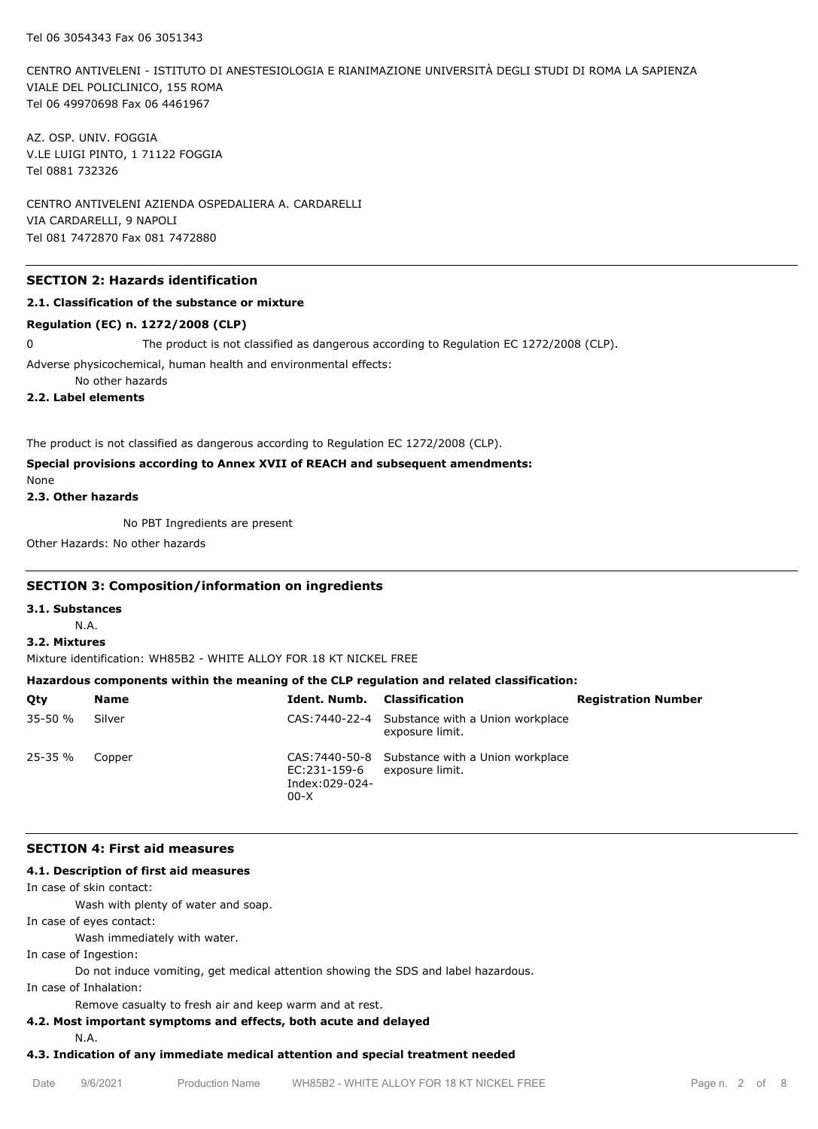CENTRO ANTIVELENI - ISTITUTO DI ANESTESIOLOGIA E RIANIMAZIONE UNIVERSITÀ DEGLI STUDI DI ROMA LA SAPIENZA VIALE DEL POLICLINICO, 155 ROMA Tel 06 49970698 Fax 06 4461967

AZ. OSP. UNIV. FOGGIA V.LE LUIGI PINTO, 1 71122 FOGGIA Tel 0881 732326

CENTRO ANTIVELENI AZIENDA OSPEDALIERA A. CARDARELLI VIA CARDARELLI, 9 NAPOLI Tel 081 7472870 Fax 081 7472880

# **SECTION 2: Hazards identification**

#### **2.1. Classification of the substance or mixture**

#### **Regulation (EC) n. 1272/2008 (CLP)**

0 The product is not classified as dangerous according to Regulation EC 1272/2008 (CLP).

Adverse physicochemical, human health and environmental effects:

No other hazards

**2.2. Label elements**

The product is not classified as dangerous according to Regulation EC 1272/2008 (CLP).

# **Special provisions according to Annex XVII of REACH and subsequent amendments:**

None

**2.3. Other hazards**

No PBT Ingredients are present

Other Hazards: No other hazards

#### **SECTION 3: Composition/information on ingredients**

**3.1. Substances**

N.A.

#### **3.2. Mixtures**

Mixture identification: WH85B2 - WHITE ALLOY FOR 18 KT NICKEL FREE

# **Hazardous components within the meaning of the CLP regulation and related classification:**

| Oty         | <b>Name</b> | <b>Ident. Numb.</b> Classification       |                                                                    | <b>Registration Number</b> |
|-------------|-------------|------------------------------------------|--------------------------------------------------------------------|----------------------------|
| $35 - 50 %$ | Silver      |                                          | CAS: 7440-22-4 Substance with a Union workplace<br>exposure limit. |                            |
| $25 - 35 %$ | Copper      | EC:231-159-6<br>Index:029-024-<br>$00-X$ | CAS: 7440-50-8 Substance with a Union workplace<br>exposure limit. |                            |

#### **SECTION 4: First aid measures**

# **4.1. Description of first aid measures**

In case of skin contact:

Wash with plenty of water and soap.

In case of eyes contact:

Wash immediately with water.

In case of Ingestion:

Do not induce vomiting, get medical attention showing the SDS and label hazardous.

In case of Inhalation:

Remove casualty to fresh air and keep warm and at rest.

#### **4.2. Most important symptoms and effects, both acute and delayed**

N.A.

## **4.3. Indication of any immediate medical attention and special treatment needed**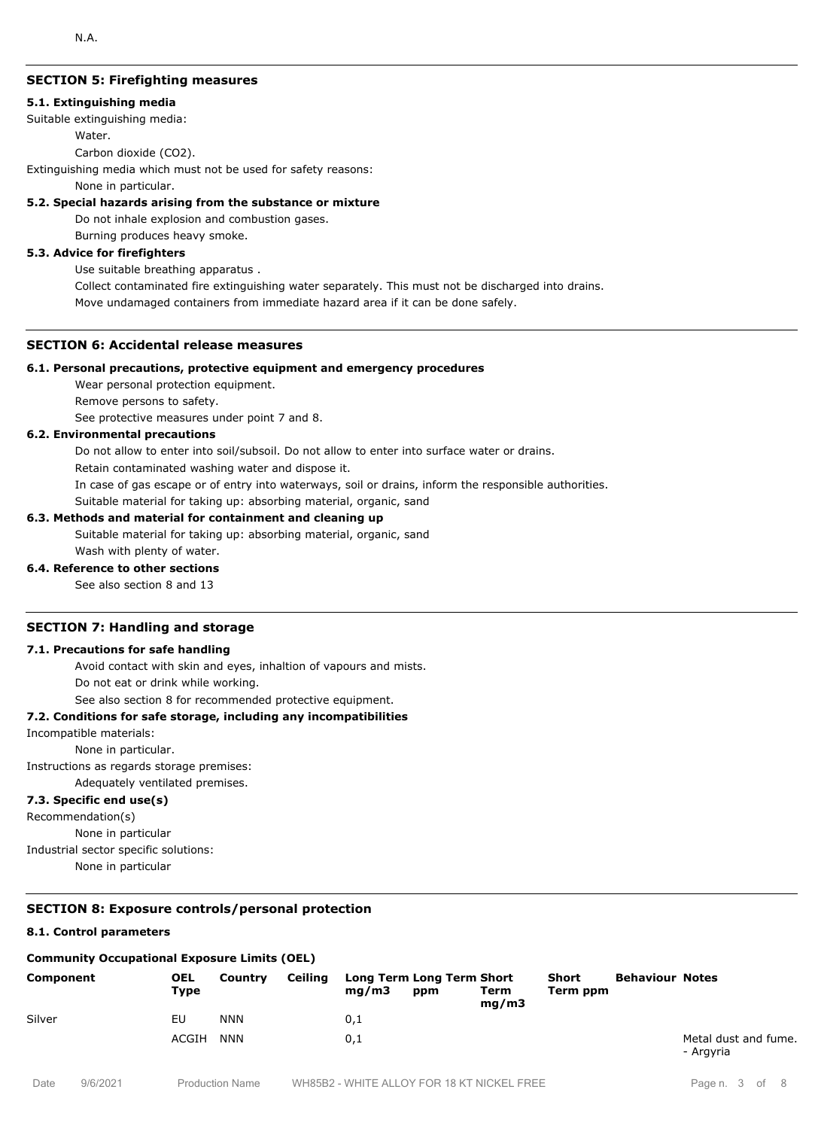# **SECTION 5: Firefighting measures**

#### **5.1. Extinguishing media**

Suitable extinguishing media:

Water.

Carbon dioxide (CO2).

Extinguishing media which must not be used for safety reasons:

None in particular.

#### **5.2. Special hazards arising from the substance or mixture**

Do not inhale explosion and combustion gases.

Burning produces heavy smoke.

#### **5.3. Advice for firefighters**

Use suitable breathing apparatus .

Collect contaminated fire extinguishing water separately. This must not be discharged into drains. Move undamaged containers from immediate hazard area if it can be done safely.

#### **SECTION 6: Accidental release measures**

#### **6.1. Personal precautions, protective equipment and emergency procedures**

Wear personal protection equipment.

Remove persons to safety.

See protective measures under point 7 and 8.

#### **6.2. Environmental precautions**

Do not allow to enter into soil/subsoil. Do not allow to enter into surface water or drains.

Retain contaminated washing water and dispose it.

In case of gas escape or of entry into waterways, soil or drains, inform the responsible authorities.

Suitable material for taking up: absorbing material, organic, sand

#### **6.3. Methods and material for containment and cleaning up**

Suitable material for taking up: absorbing material, organic, sand Wash with plenty of water.

#### **6.4. Reference to other sections**

See also section 8 and 13

#### **SECTION 7: Handling and storage**

#### **7.1. Precautions for safe handling**

Avoid contact with skin and eyes, inhaltion of vapours and mists.

Do not eat or drink while working.

See also section 8 for recommended protective equipment.

#### **7.2. Conditions for safe storage, including any incompatibilities**

Incompatible materials:

None in particular.

Instructions as regards storage premises:

Adequately ventilated premises.

# **7.3. Specific end use(s)**

Recommendation(s)

None in particular

Industrial sector specific solutions:

None in particular

# **SECTION 8: Exposure controls/personal protection**

#### **8.1. Control parameters**

#### **Community Occupational Exposure Limits (OEL)**

| Component | <b>OEL</b><br>Type | Country    | Ceiling | mq/m3 | Long Term Long Term Short<br>ppm | Term<br>mq/m3 | Short<br>Term ppm | <b>Behaviour Notes</b> |                                   |
|-----------|--------------------|------------|---------|-------|----------------------------------|---------------|-------------------|------------------------|-----------------------------------|
| Silver    | EU                 | <b>NNN</b> |         | 0,1   |                                  |               |                   |                        |                                   |
|           | ACGIH              | <b>NNN</b> |         | 0,1   |                                  |               |                   |                        | Metal dust and fume.<br>- Argyria |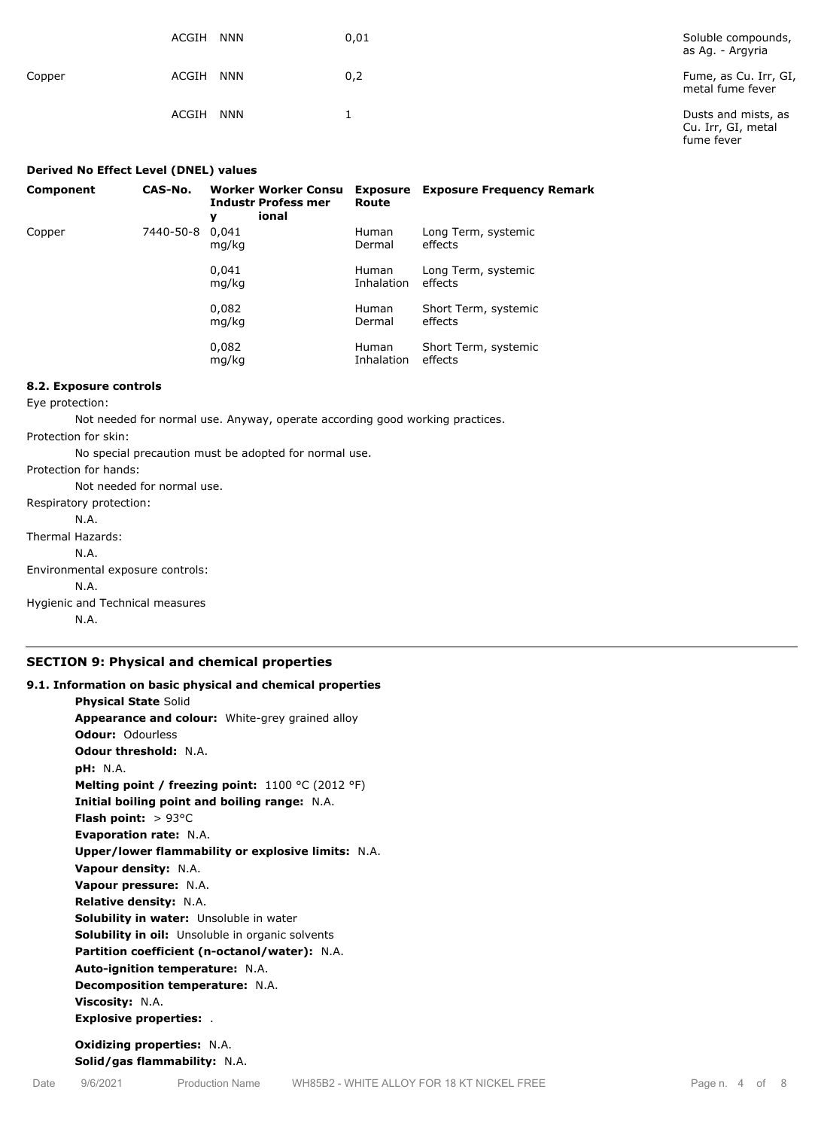|        | ACGIH<br><b>NNN</b> | 0,01 | Soluble compounds,<br>as Ag. - Argyria                  |
|--------|---------------------|------|---------------------------------------------------------|
| Copper | <b>NNN</b><br>ACGIH | 0,2  | Fume, as Cu. Irr, GI,<br>metal fume fever               |
|        | ACGIH<br><b>NNN</b> |      | Dusts and mists, as<br>Cu. Irr, GI, metal<br>fume fever |

| Derived No Effect Level (DNEL) values |           |                                                                        |                            |                                  |  |
|---------------------------------------|-----------|------------------------------------------------------------------------|----------------------------|----------------------------------|--|
| Component                             | CAS-No.   | <b>Worker Worker Consu</b><br><b>Industr Profess mer</b><br>ional<br>у | Exposure<br>Route          | <b>Exposure Frequency Remark</b> |  |
| Copper                                | 7440-50-8 | 0.041<br>mg/kg                                                         | <b>Human</b><br>Dermal     | Long Term, systemic<br>effects   |  |
|                                       |           | 0,041<br>mg/kg                                                         | <b>Human</b><br>Inhalation | Long Term, systemic<br>effects   |  |
|                                       |           | 0,082<br>mg/kg                                                         | <b>Human</b><br>Dermal     | Short Term, systemic<br>effects  |  |
|                                       |           | 0,082<br>mg/kg                                                         | <b>Human</b><br>Inhalation | Short Term, systemic<br>effects  |  |

#### **8.2. Exposure controls**

Eye protection:

Not needed for normal use. Anyway, operate according good working practices.

Protection for skin:

No special precaution must be adopted for normal use.

Protection for hands:

Not needed for normal use. Respiratory protection:

N.A.

Thermal Hazards:

N.A.

Environmental exposure controls:

N.A.

Hygienic and Technical measures

N.A.

# **SECTION 9: Physical and chemical properties**

# **9.1. Information on basic physical and chemical properties Physical State** Solid **Appearance and colour:** White-grey grained alloy **Odour:** Odourless **Odour threshold:** N.A. **pH:** N.A. **Melting point / freezing point:** 1100 °C (2012 °F) **Initial boiling point and boiling range:** N.A. **Flash point:** > 93°C **Evaporation rate:** N.A. **Upper/lower flammability or explosive limits:** N.A. **Vapour density:** N.A. **Vapour pressure:** N.A. **Relative density:** N.A. **Solubility in water:** Unsoluble in water **Solubility in oil:** Unsoluble in organic solvents **Partition coefficient (n-octanol/water):** N.A. **Auto-ignition temperature:** N.A. **Decomposition temperature:** N.A. **Viscosity:** N.A. **Explosive properties:** . **Oxidizing properties:** N.A.

**Solid/gas flammability:** N.A.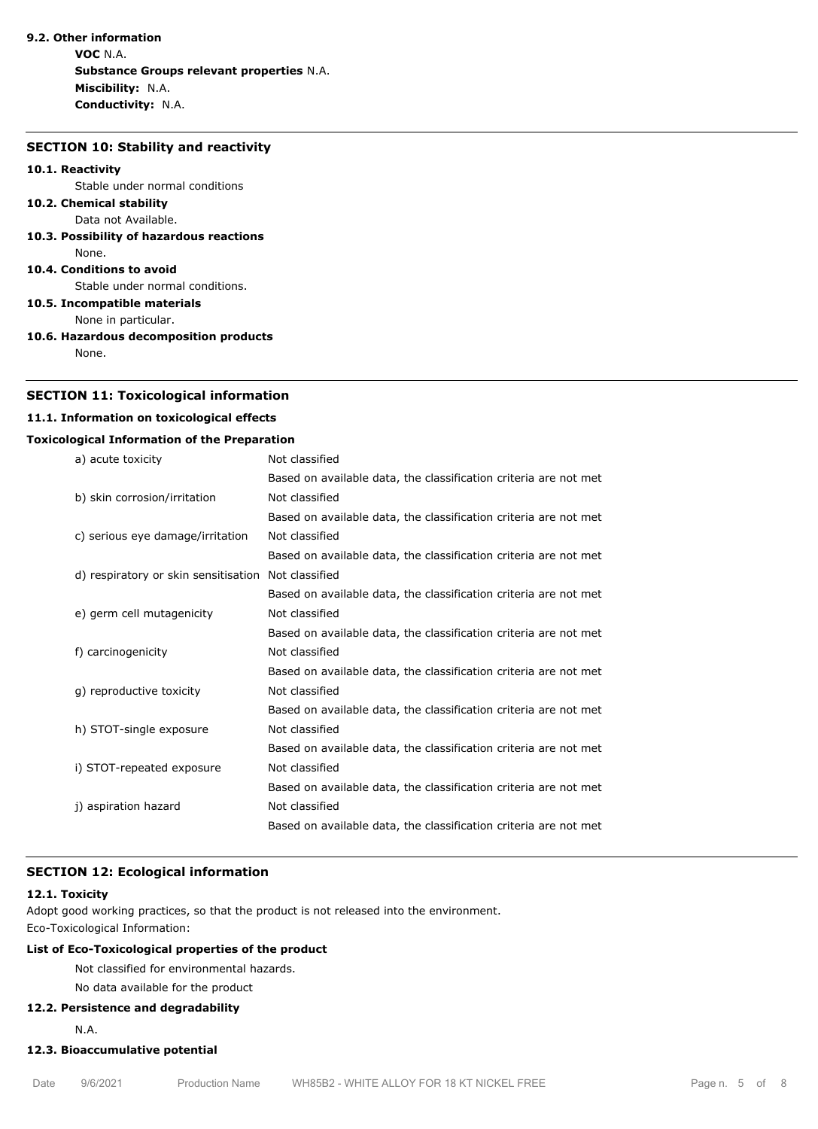## **9.2. Other information**

**VOC** N.A. **Substance Groups relevant properties** N.A. **Miscibility:** N.A. **Conductivity:** N.A.

#### **SECTION 10: Stability and reactivity**

#### **10.1. Reactivity**

Stable under normal conditions

- **10.2. Chemical stability** Data not Available.
- **10.3. Possibility of hazardous reactions** None.

#### **10.4. Conditions to avoid**

Stable under normal conditions.

**10.5. Incompatible materials**

None in particular.

**10.6. Hazardous decomposition products** None.

# **SECTION 11: Toxicological information**

# **11.1. Information on toxicological effects**

#### **Toxicological Information of the Preparation**

| a) acute toxicity                    | Not classified                                                   |
|--------------------------------------|------------------------------------------------------------------|
|                                      | Based on available data, the classification criteria are not met |
| b) skin corrosion/irritation         | Not classified                                                   |
|                                      | Based on available data, the classification criteria are not met |
| c) serious eye damage/irritation     | Not classified                                                   |
|                                      | Based on available data, the classification criteria are not met |
| d) respiratory or skin sensitisation | Not classified                                                   |
|                                      | Based on available data, the classification criteria are not met |
| e) germ cell mutagenicity            | Not classified                                                   |
|                                      | Based on available data, the classification criteria are not met |
| f) carcinogenicity                   | Not classified                                                   |
|                                      | Based on available data, the classification criteria are not met |
| g) reproductive toxicity             | Not classified                                                   |
|                                      | Based on available data, the classification criteria are not met |
| h) STOT-single exposure              | Not classified                                                   |
|                                      | Based on available data, the classification criteria are not met |
| i) STOT-repeated exposure            | Not classified                                                   |
|                                      | Based on available data, the classification criteria are not met |
| j) aspiration hazard                 | Not classified                                                   |
|                                      | Based on available data, the classification criteria are not met |
|                                      |                                                                  |

## **SECTION 12: Ecological information**

# **12.1. Toxicity**

Adopt good working practices, so that the product is not released into the environment. Eco-Toxicological Information:

# **List of Eco-Toxicological properties of the product**

Not classified for environmental hazards.

# No data available for the product

# **12.2. Persistence and degradability**

N.A.

# **12.3. Bioaccumulative potential**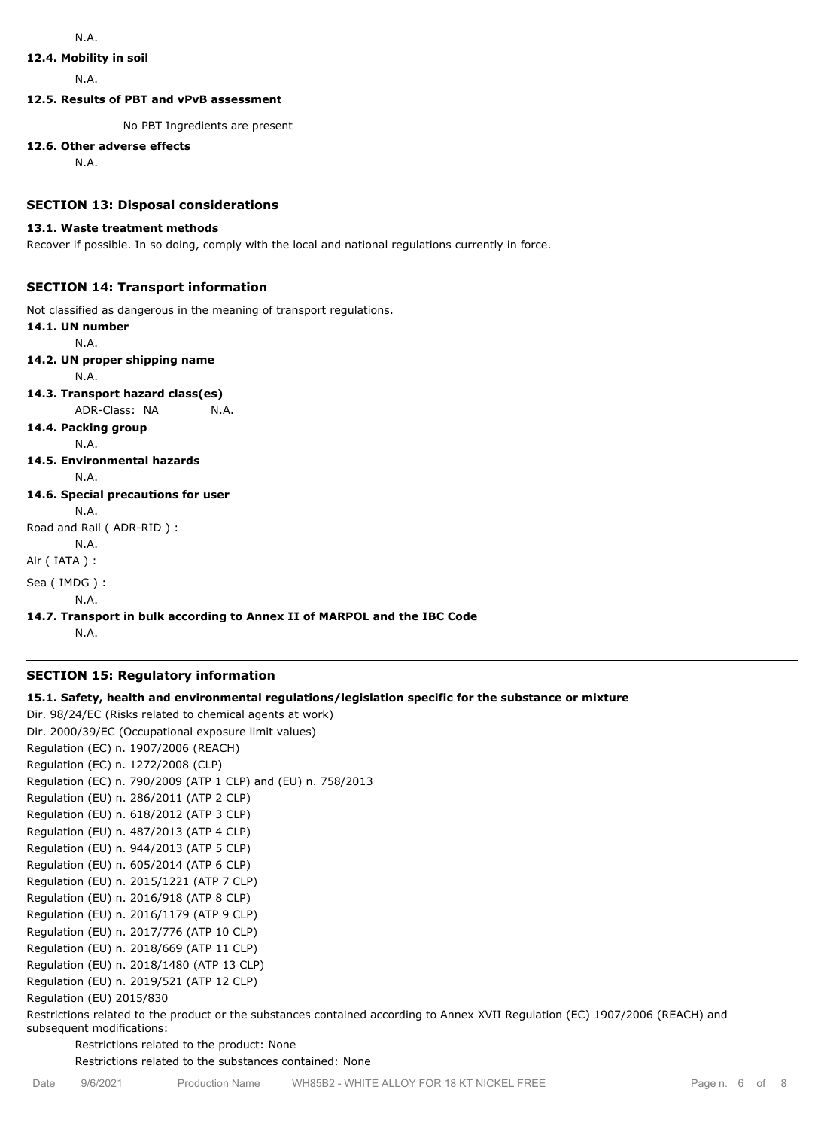# **12.4. Mobility in soil**

N.A.

**12.5. Results of PBT and vPvB assessment**

No PBT Ingredients are present

#### **12.6. Other adverse effects**

N.A.

#### **SECTION 13: Disposal considerations**

#### **13.1. Waste treatment methods**

Recover if possible. In so doing, comply with the local and national regulations currently in force.

# **SECTION 14: Transport information**

Not classified as dangerous in the meaning of transport regulations.

**14.1. UN number** N.A. **14.2. UN proper shipping name** N.A. **14.3. Transport hazard class(es)** ADR-Class: NA N.A. **14.4. Packing group** N.A. **14.5. Environmental hazards** N.A. **14.6. Special precautions for user** N.A. Road and Rail ( ADR-RID ) : N.A. Air ( IATA ) : Sea ( IMDG ) : N.A.

# **14.7. Transport in bulk according to Annex II of MARPOL and the IBC Code**

N.A.

# **SECTION 15: Regulatory information**

# **15.1. Safety, health and environmental regulations/legislation specific for the substance or mixture**

Dir. 98/24/EC (Risks related to chemical agents at work) Dir. 2000/39/EC (Occupational exposure limit values) Regulation (EC) n. 1907/2006 (REACH) Regulation (EC) n. 1272/2008 (CLP) Regulation (EC) n. 790/2009 (ATP 1 CLP) and (EU) n. 758/2013 Regulation (EU) n. 286/2011 (ATP 2 CLP) Regulation (EU) n. 618/2012 (ATP 3 CLP) Regulation (EU) n. 487/2013 (ATP 4 CLP) Regulation (EU) n. 944/2013 (ATP 5 CLP) Regulation (EU) n. 605/2014 (ATP 6 CLP) Regulation (EU) n. 2015/1221 (ATP 7 CLP) Regulation (EU) n. 2016/918 (ATP 8 CLP) Regulation (EU) n. 2016/1179 (ATP 9 CLP) Regulation (EU) n. 2017/776 (ATP 10 CLP) Regulation (EU) n. 2018/669 (ATP 11 CLP) Regulation (EU) n. 2018/1480 (ATP 13 CLP) Regulation (EU) n. 2019/521 (ATP 12 CLP) Regulation (EU) 2015/830

Restrictions related to the product or the substances contained according to Annex XVII Regulation (EC) 1907/2006 (REACH) and subsequent modifications:

Restrictions related to the product: None

Restrictions related to the substances contained: None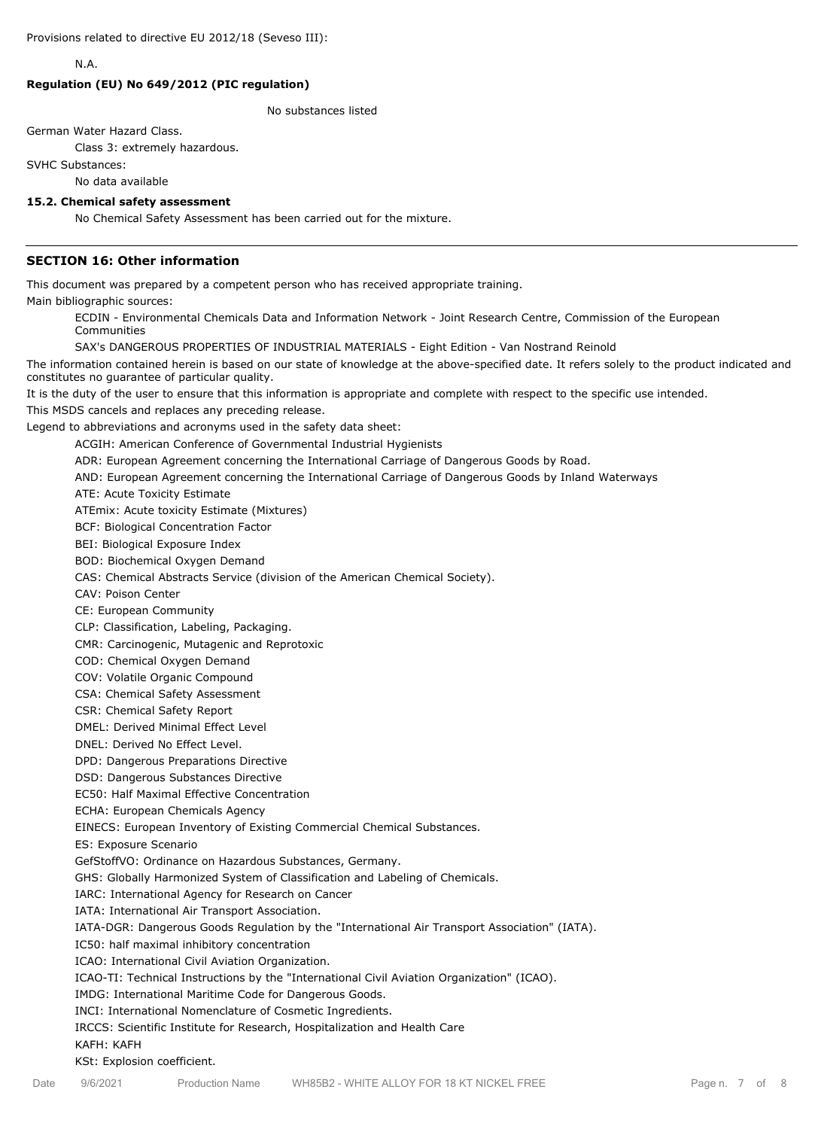N.A.

#### **Regulation (EU) No 649/2012 (PIC regulation)**

No substances listed

German Water Hazard Class.

Class 3: extremely hazardous.

SVHC Substances:

No data available

#### **15.2. Chemical safety assessment**

No Chemical Safety Assessment has been carried out for the mixture.

## **SECTION 16: Other information**

This document was prepared by a competent person who has received appropriate training.

Main bibliographic sources:

ECDIN - Environmental Chemicals Data and Information Network - Joint Research Centre, Commission of the European Communities

SAX's DANGEROUS PROPERTIES OF INDUSTRIAL MATERIALS - Eight Edition - Van Nostrand Reinold

The information contained herein is based on our state of knowledge at the above-specified date. It refers solely to the product indicated and constitutes no guarantee of particular quality.

It is the duty of the user to ensure that this information is appropriate and complete with respect to the specific use intended.

This MSDS cancels and replaces any preceding release.

Legend to abbreviations and acronyms used in the safety data sheet:

ACGIH: American Conference of Governmental Industrial Hygienists

ADR: European Agreement concerning the International Carriage of Dangerous Goods by Road.

AND: European Agreement concerning the International Carriage of Dangerous Goods by Inland Waterways

ATE: Acute Toxicity Estimate

ATEmix: Acute toxicity Estimate (Mixtures)

BCF: Biological Concentration Factor

BEI: Biological Exposure Index

BOD: Biochemical Oxygen Demand

CAS: Chemical Abstracts Service (division of the American Chemical Society).

CAV: Poison Center

CE: European Community

CLP: Classification, Labeling, Packaging.

CMR: Carcinogenic, Mutagenic and Reprotoxic

COD: Chemical Oxygen Demand

COV: Volatile Organic Compound

CSA: Chemical Safety Assessment

CSR: Chemical Safety Report

DMEL: Derived Minimal Effect Level

DNEL: Derived No Effect Level.

DPD: Dangerous Preparations Directive

DSD: Dangerous Substances Directive

EC50: Half Maximal Effective Concentration

ECHA: European Chemicals Agency

EINECS: European Inventory of Existing Commercial Chemical Substances.

ES: Exposure Scenario

GefStoffVO: Ordinance on Hazardous Substances, Germany.

GHS: Globally Harmonized System of Classification and Labeling of Chemicals.

IARC: International Agency for Research on Cancer

IATA: International Air Transport Association.

IATA-DGR: Dangerous Goods Regulation by the "International Air Transport Association" (IATA).

IC50: half maximal inhibitory concentration

ICAO: International Civil Aviation Organization.

ICAO-TI: Technical Instructions by the "International Civil Aviation Organization" (ICAO).

IMDG: International Maritime Code for Dangerous Goods.

INCI: International Nomenclature of Cosmetic Ingredients.

IRCCS: Scientific Institute for Research, Hospitalization and Health Care

#### KAFH: KAFH

KSt: Explosion coefficient.